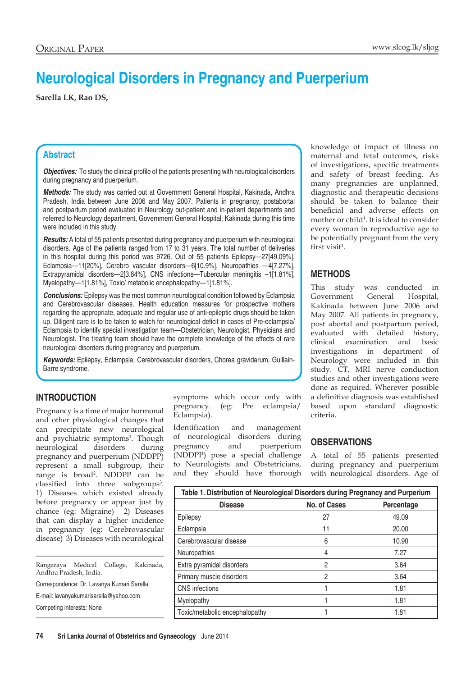# **Neurological Disorders in Pregnancy and Puerperium**

**Sarella LK, Rao DS,**

## **Abstract**

*Objectives:* To study the clinical profile of the patients presenting with neurological disorders during pregnancy and puerperium.

*Methods:* The study was carried out at Government General Hospital, Kakinada, Andhra Pradesh, India between June 2006 and May 2007. Patients in pregnancy, postabortal and postpartum period evaluated in Neurology out-patient and in-patient departments and referred to Neurology department, Government General Hospital, Kakinada during this time were included in this study.

*Results:* A total of 55 patients presented during pregnancy and puerperium with neurological disorders. Age of the patients ranged from 17 to 31 years. The total number of deliveries in this hospital during this period was 9726. Out of 55 patients Epilepsy—27[49.09%], Eclampsia—11[20%], Cerebro vascular disorders—6[10.9%], Neuropathies —4[7.27%], Extrapyramidal disorders---2[3.64%], CNS infections—Tubercular meningitis –1[1.81%], Myelopathy—1[1.81%], Toxic/ metabolic encephalopathy—1[1.81%].

**Conclusions:** Epilepsy was the most common neurological condition followed by Eclampsia and Cerebrovascular diseases. Health education measures for prospective mothers regarding the appropriate, adequate and regular use of anti-epileptic drugs should be taken up. Diligent care is to be taken to watch for neurological deficit in cases of Pre-eclampsia/ Eclampsia to identify special investigation team—Obstetrician, Neurologist, Physicians and Neurologist. The treating team should have the complete knowledge of the effects of rare neurological disorders during pregnancy and puerperium.

*Keywords:* Epilepsy, Eclampsia, Cerebrovascular disorders, Chorea gravidarum, Guillain-Barre syndrome.

# **INTRODUCTION**

Pregnancy is a time of major hormonal and other physiological changes that can precipitate new neurological and psychiatric symptoms<sup>1</sup>. Though neurological disorders during pregnancy and puerperium (NDDPP) represent a small subgroup, their range is broad<sup>2</sup> . NDDPP can be classified into three subgroups<sup>3</sup>. 1) Diseases which existed already before pregnancy or appear just by chance (eg: Migraine) 2) Diseases that can display a higher incidence in pregnancy (eg: Cerebrovascular disease) 3) Diseases with neurological

Rangaraya Medical College, Kakinada, Andhra Pradesh, India.

Correspondence: Dr. Lavanya Kumari Sarella

E-mail: lavanyakumarisarella@yahoo.com

Competing interests: None

symptoms which occur only with pregnancy. (eg: Pre eclampsia/ Eclampsia).

Identification and management of neurological disorders during pregnancy and puerperium (NDDPP) pose a special challenge to Neurologists and Obstetricians, and they should have thorough knowledge of impact of illness on maternal and fetal outcomes, risks of investigations, specific treatments and safety of breast feeding. As many pregnancies are unplanned, diagnostic and therapeutic decisions should be taken to balance their beneficial and adverse effects on mother or child<sup>1</sup>. It is ideal to consider every woman in reproductive age to be potentially pregnant from the very  $first$  visi $t^1$ .

# **METHODS**

This study was conducted in Government General Hospital, Kakinada between June 2006 and May 2007. All patients in pregnancy, post abortal and postpartum period, evaluated with detailed history, clinical examination and basic investigations in department of Neurology were included in this study. CT, MRI nerve conduction studies and other investigations were done as required. Wherever possible a definitive diagnosis was established based upon standard diagnostic criteria.

## **OBSERVATIONS**

A total of 55 patients presented during pregnancy and puerperium with neurological disorders. Age of

| Table 1. Distribution of Neurological Disorders during Pregnancy and Purperium |              |            |  |
|--------------------------------------------------------------------------------|--------------|------------|--|
| <b>Disease</b>                                                                 | No. of Cases | Percentage |  |
| Epilepsy                                                                       | 27           | 49.09      |  |
| Eclampsia                                                                      | 11           | 20.00      |  |
| Cerebrovascular disease                                                        | 6            | 10.90      |  |
| Neuropathies                                                                   | 4            | 7.27       |  |
| Extra pyramidal disorders                                                      | 2            | 3.64       |  |
| Primary muscle disorders                                                       | 2            | 3.64       |  |
| <b>CNS</b> infections                                                          |              | 1.81       |  |
| Myelopathy                                                                     |              | 1.81       |  |
| Toxic/metabolic encephalopathy                                                 |              | 1.81       |  |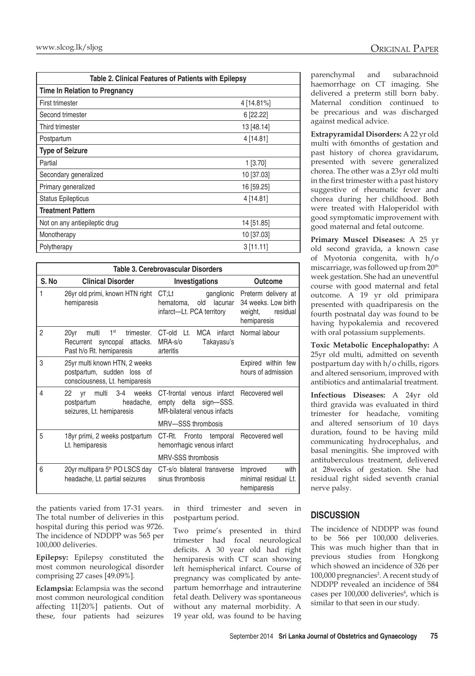| Table 2. Clinical Features of Patients with Epilepsy |            |  |  |
|------------------------------------------------------|------------|--|--|
| <b>Time In Relation to Pregnancy</b>                 |            |  |  |
| First trimester                                      | 4 [14.81%] |  |  |
| Second trimester                                     | 6 [22.22]  |  |  |
| Third trimester                                      | 13 [48.14] |  |  |
| Postpartum                                           | 4 [14.81]  |  |  |
| <b>Type of Seizure</b>                               |            |  |  |
| Partial                                              | $1$ [3.70] |  |  |
| Secondary generalized                                | 10 [37.03] |  |  |
| Primary generalized                                  | 16 [59.25] |  |  |
| <b>Status Epilepticus</b>                            | 4 [14.81]  |  |  |
| Treatment Pattern                                    |            |  |  |
| Not on any antiepileptic drug                        | 14 [51.85] |  |  |
| Monotherapy                                          | 10 [37.03] |  |  |
| Polytherapy                                          | 3[11.11]   |  |  |

| Table 3. Cerebrovascular Disorders |                                                                                                           |                                                                                                            |                                                                                  |  |
|------------------------------------|-----------------------------------------------------------------------------------------------------------|------------------------------------------------------------------------------------------------------------|----------------------------------------------------------------------------------|--|
| S. No                              | <b>Clinical Disorder</b>                                                                                  | Investigations                                                                                             | Outcome                                                                          |  |
| 1                                  | 26yr old primi, known HTN right<br>hemiparesis                                                            | ganglionic<br>CT:Lt<br>old<br>lacunar<br>hematoma,<br>infarct—Lt. PCA territory                            | Preterm delivery at<br>34 weeks. Low birth<br>weight,<br>residual<br>hemiparesis |  |
| $\overline{2}$                     | 20yr<br>1 <sup>st</sup><br>multi<br>trimester.<br>Recurrent syncopal attacks.<br>Past h/o Rt. hemiparesis | MCA infarct<br>$CT$ -old $Lt$ .<br>MRA-s/o<br>Takayasu's<br>arteritis                                      | Normal labour                                                                    |  |
| 3                                  | 25yr multi known HTN, 2 weeks<br>postpartum, sudden loss of<br>consciousness, Lt. hemiparesis             |                                                                                                            | Expired within few<br>hours of admission                                         |  |
| 4                                  | multi<br>- 3-4<br>weeks<br>22<br>vr<br>postpartum<br>seizures, Lt. hemiparesis                            | CT-frontal venous infarct Recovered well<br>headache, empty delta sign-SSS.<br>MR-bilateral venous infacts |                                                                                  |  |
|                                    |                                                                                                           | MRV-SSS thrombosis                                                                                         |                                                                                  |  |
| 5                                  | 18yr primi, 2 weeks postpartum<br>Lt. hemiparesis                                                         | CT-Rt. Fronto temporal Recovered well<br>hemorrhagic venous infarct                                        |                                                                                  |  |
|                                    |                                                                                                           | MRV-SSS thrombosis                                                                                         |                                                                                  |  |
| 6                                  | 20yr multipara 5 <sup>th</sup> PO LSCS day<br>headache, Lt. partial seizures                              | CT-s/o bilateral transverse<br>sinus thrombosis                                                            | with<br>Improved<br>minimal residual Lt.<br>hemiparesis                          |  |

the patients varied from 17-31 years. The total number of deliveries in this hospital during this period was 9726. The incidence of NDDPP was 565 per 100,000 deliveries.

**Epilepsy:** Epilepsy constituted the most common neurological disorder comprising 27 cases [49.09%].

**Eclampsia:** Eclampsia was the second most common neurological condition affecting 11[20%] patients. Out of these, four patients had seizures in third trimester and seven in postpartum period.

Two prime's presented in third trimester had focal neurological deficits. A 30 year old had right hemiparesis with CT scan showing left hemispherical infarct. Course of pregnancy was complicated by antepartum hemorrhage and intrauterine fetal death. Delivery was spontaneous without any maternal morbidity. A 19 year old, was found to be having

parenchymal and subarachnoid haemorrhage on CT imaging. She delivered a preterm still born baby. Maternal condition continued to be precarious and was discharged against medical advice.

**Extrapyramidal Disorders:** A 22 yr old multi with 6months of gestation and past history of chorea gravidarum, presented with severe generalized chorea. The other was a 23yr old multi in the first trimester with a past history suggestive of rheumatic fever and chorea during her childhood. Both were treated with Haloperidol with good symptomatic improvement with good maternal and fetal outcome.

**Primary Muscel Diseases:** A 25 yr old second gravida, a known case of Myotonia congenita, with h/o miscarriage, was followed up from 20th week gestation. She had an uneventful course with good maternal and fetal outcome. A 19 yr old primipara presented with quadriparesis on the fourth postnatal day was found to be having hypokalemia and recovered with oral potassium supplements.

**Toxic Metabolic Encephalopathy:** A 25yr old multi, admitted on seventh postpartum day with h/o chills, rigors and altered sensorium, improved with antibiotics and antimalarial treatment.

**Infectious Diseases:** A 24yr old third gravida was evaluated in third trimester for headache, vomiting and altered sensorium of 10 days duration, found to be having mild communicating hydrocephalus, and basal meningitis. She improved with antituberculous treatment, delivered at 28weeks of gestation. She had residual right sided seventh cranial nerve palsy.

## **DISCUSSION**

The incidence of NDDPP was found to be 566 per 100,000 deliveries. This was much higher than that in previous studies from Hongkong which showed an incidence of 326 per 100,000 pregnancies<sup>2</sup>. A recent study of NDDPP revealed an incidence of 584 cases per 100,000 deliveries<sup>4</sup>, which is similar to that seen in our study.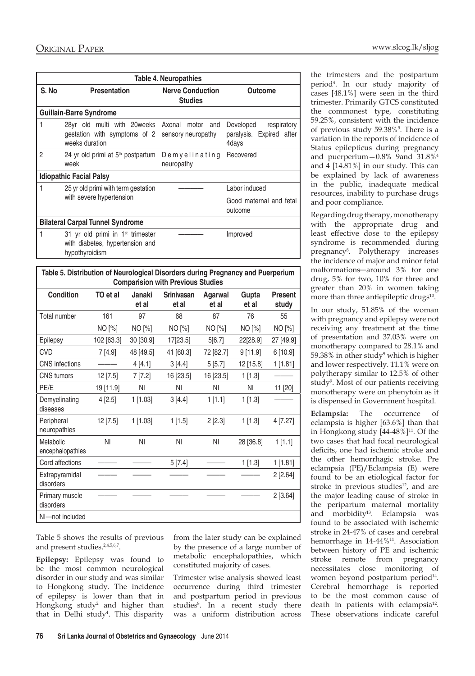|                | <b>Table 4. Neuropathies</b>                                                                            |                                           |                                                               |  |  |  |
|----------------|---------------------------------------------------------------------------------------------------------|-------------------------------------------|---------------------------------------------------------------|--|--|--|
| S.No           | <b>Presentation</b>                                                                                     | <b>Nerve Conduction</b><br><b>Studies</b> | <b>Outcome</b>                                                |  |  |  |
|                | <b>Guillain-Barre Syndrome</b>                                                                          |                                           |                                                               |  |  |  |
| 1              | 28yr old multi with 20weeks Axonal<br>gestation with symptoms of 2 sensory neuropathy<br>weeks duration | motor and                                 | Developed<br>respiratory<br>paralysis. Expired after<br>4days |  |  |  |
| $\overline{2}$ | 24 yr old primi at 5 <sup>th</sup> postpartum<br>week                                                   | Demyelinating<br>neuropathy               | Recovered                                                     |  |  |  |
|                | <b>Idiopathic Facial Palsy</b>                                                                          |                                           |                                                               |  |  |  |
| 1              | 25 yr old primi with term gestation<br>with severe hypertension                                         |                                           | Labor induced<br>Good maternal and fetal<br>outcome           |  |  |  |
|                | <b>Bilateral Carpal Tunnel Syndrome</b>                                                                 |                                           |                                                               |  |  |  |
|                | 31 yr old primi in 1 <sup>st</sup> trimester<br>with diabetes, hypertension and<br>hypothyroidism       |                                           | Improved                                                      |  |  |  |

| Table 5. Distribution of Neurological Disorders during Pregnancy and Puerperium<br><b>Comparision with Previous Studies</b> |            |                 |                     |                         |                |                         |
|-----------------------------------------------------------------------------------------------------------------------------|------------|-----------------|---------------------|-------------------------|----------------|-------------------------|
| <b>Condition</b>                                                                                                            | TO et al   | Janaki<br>et al | Srinivasan<br>et al | <b>Agarwal</b><br>et al | Gupta<br>et al | <b>Present</b><br>study |
| Total number                                                                                                                | 161        | 97              | 68                  | 87                      | 76             | 55                      |
|                                                                                                                             | NO [%]     | NO [%]          | NO [%]              | NO [%]                  | NO [%]         | NO [%]                  |
| Epilepsy                                                                                                                    | 102 [63.3] | 30 [30.9]       | 17[23.5]            | 5[6.7]                  | 22[28.9]       | 27 [49.9]               |
| <b>CVD</b>                                                                                                                  | 7[4.9]     | 48 [49.5]       | 41 [60.3]           | 72 [82.7]               | 9[11.9]        | 6 [10.9]                |
| <b>CNS</b> infections                                                                                                       |            | 4[4.1]          | 3[4.4]              | 5[5.7]                  | 12 [15.8]      | 1[1.81]                 |
| <b>CNS</b> tumors                                                                                                           | 12 [7.5]   | 7[7.2]          | 16 [23.5]           | 16 [23.5]               | 1[1.3]         |                         |
| PE/E                                                                                                                        | 19 [11.9]  | ΝI              | ΝI                  | ΝI                      | ΝI             | 11 [20]                 |
| Demyelinating<br>diseases                                                                                                   | 4[2.5]     | $1$ [1.03]      | 3[4.4]              | 1[1.1]                  | 1 [1.3]        |                         |
| Peripheral<br>neuropathies                                                                                                  | 12 [7.5]   | $1$ [1.03]      | 1[1.5]              | 2[2.3]                  | 1 [1.3]        | 4 [7.27]                |
| Metabolic<br>encephalopathies                                                                                               | ΝI         | ΝI              | NI                  | NI                      | 28 [36.8]      | 1[1.1]                  |
| Cord affections                                                                                                             |            |                 | 5[7.4]              |                         | 1[1.3]         | 1 [1.81]                |
| Extrapyramidal<br>disorders                                                                                                 |            |                 |                     |                         |                | 2[2.64]                 |
| Primary muscle<br>disorders                                                                                                 |            |                 |                     |                         |                | 2[3.64]                 |
| NI-not included                                                                                                             |            |                 |                     |                         |                |                         |

Table 5 shows the results of previous and present studies.2,4,5,6,7.

**Epilepsy:** Epilepsy was found to be the most common neurological disorder in our study and was similar to Hongkong study. The incidence of epilepsy is lower than that in Hongkong study<sup>2</sup> and higher than that in Delhi study<sup>4</sup> . This disparity from the later study can be explained by the presence of a large number of metabolic encephalopathies, which constituted majority of cases.

Trimester wise analysis showed least occurrence during third trimester and postpartum period in previous studies<sup>8</sup>. In a recent study there was a uniform distribution across

the trimesters and the postpartum period4 . In our study majority of cases [48.1%] were seen in the third trimester. Primarily GTCS constituted the commonest type, constituting 59.25%, consistent with the incidence of previous study 59.38%<sup>9</sup>. There is a variation in the reports of incidence of Status epilepticus during pregnancy and puerperium—0.8% 9and 31.8%4 and 4 [14.81%] in our study. This can be explained by lack of awareness in the public, inadequate medical resources, inability to purchase drugs and poor compliance.

Regarding drug therapy, monotherapy with the appropriate drug and least effective dose to the epilepsy syndrome is recommended during pregnancy8 . Polytherapy increases the incidence of major and minor fetal malformations—around 3% for one drug, 5% for two, 10% for three and greater than 20% in women taking more than three antiepileptic drugs<sup>10</sup>.

In our study, 51.85% of the woman with pregnancy and epilepsy were not receiving any treatment at the time of presentation and 37.03% were on monotherapy compared to 28.1% and 59.38% in other study<sup>9</sup> which is higher and lower respectively. 11.1% were on polytherapy similar to 12.5% of other study<sup>9</sup>. Most of our patients receiving monotherapy were on phenytoin as it is dispensed in Government hospital.

**Eclampsia:** The occurrence of eclampsia is higher [63.6%] than that in Hongkong study  $[44-48\%]^{11}$ . Of the two cases that had focal neurological deficits, one had ischemic stroke and the other hemorrhagic stroke. Pre eclampsia (PE)/Eclampsia (E) were found to be an etiological factor for stroke in previous studies<sup>12</sup>, and are the major leading cause of stroke in the peripartum maternal mortality and morbidity<sup>13</sup>. Eclampsia was found to be associated with ischemic stroke in 24-47% of cases and cerebral hemorrhage in 14-44%<sup>11</sup>. Association between history of PE and ischemic stroke remote from pregnancy necessitates close monitoring of women beyond postpartum period<sup>14</sup>. Cerebral hemorrhage is reported to be the most common cause of death in patients with eclampsia<sup>12</sup>. These observations indicate careful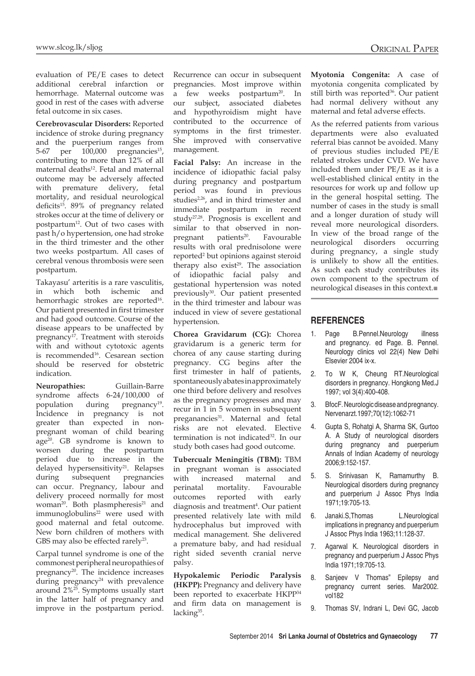evaluation of PE/E cases to detect additional cerebral infarction or hemorrhage. Maternal outcome was good in rest of the cases with adverse fetal outcome in six cases.

**Cerebrovascular Disorders:** Reported incidence of stroke during pregnancy and the puerperium ranges from 5-67 per 100,000 pregnancies<sup>15</sup>, contributing to more than 12% of all maternal deaths<sup>12</sup>. Fetal and maternal outcome may be adversely affected with premature delivery, fetal mortality, and residual neurological deficits<sup>15</sup>. 89% of pregnancy related strokes occur at the time of delivery or postpartum12. Out of two cases with past h/o hypertension, one had stroke in the third trimester and the other two weeks postpartum. All cases of cerebral venous thrombosis were seen postpartum.

Takayasu' arteritis is a rare vasculitis, in which both ischemic and hemorrhagic strokes are reported<sup>16</sup>. Our patient presented in first trimester and had good outcome. Course of the disease appears to be unaffected by pregnancy<sup>17</sup>. Treatment with steroids with and without cytotoxic agents is recommended16. Cesarean section should be reserved for obstetric indication.

**Neuropathies:** Guillain-Barre syndrome affects 6-24/100,000 of population during pregnancy<sup>19</sup>. Incidence in pregnancy is not greater than expected in nonpregnant woman of child bearing age<sup>20</sup>. GB syndrome is known to worsen during the postpartum period due to increase in the delayed hypersensitivity<sup>21</sup>. Relapses during subsequent pregnancies can occur. Pregnancy, labour and delivery proceed normally for most woman<sup>20</sup>. Both plasmpheresis<sup>21</sup> and immunoglobulins<sup>22</sup> were used with good maternal and fetal outcome. New born children of mothers with GBS may also be effected rarely<sup>23</sup>.

Carpal tunnel syndrome is one of the commonest peripheral neuropathies of pregnancy<sup>20</sup>. The incidence increases during pregnancy $24$  with prevalence around 2%25. Symptoms usually start in the latter half of pregnancy and improve in the postpartum period. Recurrence can occur in subsequent pregnancies. Most improve within a few weeks postpartum<sup>20</sup>. In our subject, associated diabetes and hypothyroidism might have contributed to the occurrence of symptoms in the first trimester. She improved with conservative management.

**Facial Palsy:** An increase in the incidence of idiopathic facial palsy during pregnancy and postpartum period was found in previous studies<sup>2,26</sup>, and in third trimester and immediate postpartum in recent study27,28. Prognosis is excellent and similar to that observed in nonpregnant patients<sup>20</sup>. Favourable results with oral prednisolone were reported2 but opinions against steroid therapy also exist $29$ . The association of idiopathic facial palsy and gestational hypertension was noted previously<sup>30</sup>. Our patient presented in the third trimester and labour was induced in view of severe gestational hypertension.

**Chorea Gravidarum (CG):** Chorea gravidarum is a generic term for chorea of any cause starting during pregnancy. CG begins after the first trimester in half of patients, spontaneously abates in approximately one third before delivery and resolves as the pregnancy progresses and may recur in 1 in 5 women in subsequent preganancies<sup>31</sup>. Maternal and fetal risks are not elevated. Elective termination is not indicated<sup>32</sup>. In our study both cases had good outcome.

**Tubercualr Meningitis (TBM):** TBM in pregnant woman is associated with increased maternal and perinatal mortality. Favourable outcomes reported with early diagnosis and treatment<sup>4</sup>. Our patient presented relatively late with mild hydrocephalus but improved with medical management. She delivered a premature baby, and had residual right sided seventh cranial nerve palsy.

**Hypokalemic Periodic Paralysis (HKPP):** Pregnancy and delivery have been reported to exacerbate HKPP34 and firm data on management is lacking<sup>35</sup>.

**Myotonia Congenita:** A case of myotonia congenita complicated by still birth was reported<sup>36</sup>. Our patient had normal delivery without any maternal and fetal adverse effects.

As the referred patients from various departments were also evaluated referral bias cannot be avoided. Many of previous studies included PE/E related strokes under CVD. We have included them under PE/E as it is a well-established clinical entity in the resources for work up and follow up in the general hospital setting. The number of cases in the study is small and a longer duration of study will reveal more neurological disorders. In view of the broad range of the neurological disorders occurring during pregnancy, a single study is unlikely to show all the entities. As such each study contributes its own component to the spectrum of neurological diseases in this context.■

#### **REFERENCES**

- 1. Page B.Pennel.Neurology illness and pregnancy. ed Page. B. Pennel. Neurology clinics vol 22(4) New Delhi Elsevier 2004 ix-x.
- 2. To W K, Cheung RT.Neurological disorders in pregnancy. Hongkong Med.J 1997; vol 3(4):400-408.
- 3. BfocF. Neurologic disease and pregnancy. Nervenarzt.1997;70(12):1062-71
- 4. Gupta S, Rohatgi A, Sharma SK, Gurtoo A. A Study of neurological disorders during pregnancy and puerperium Annals of Indian Academy of neurology 2006;9:152-157.
- 5. S. Srinivasan K, Ramamurthy B. Neurological disorders during pregnancy and puerperium J Assoc Phys India 1971;19:705-13.
- 6. Janaki.S,Thomas L.Neurological implications in pregnancy and puerperium J Assoc Phys India 1963;11:128-37.
- 7. Agarwal K. Neurological disorders in pregnancy and puerperium J Assoc Phys India 1971;19:705-13.
- 8. Sanjeev V Thomas" Epilepsy and pregnancy current series. Mar2002. vol182
- 9. Thomas SV, Indrani L, Devi GC, Jacob